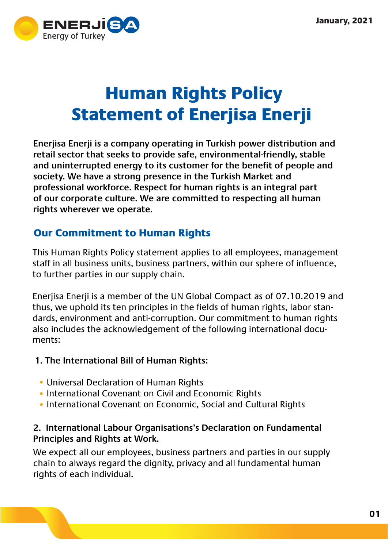

# Human Rights Policy Statement of Enerjisa Enerji

**Enerjisa Enerji is a company operating in Turkish power distribution and retail sector that seeks to provide safe, environmental-friendly, stable and uninterrupted energy to its customer for the benefit of people and society. We have a strong presence in the Turkish Market and professional workforce. Respect for human rights is an integral part of our corporate culture. We are committed to respecting all human rights wherever we operate.**

# Our Commitment to Human Rights

This Human Rights Policy statement applies to all employees, management staff in all business units, business partners, within our sphere of influence, to further parties in our supply chain.

Enerjisa Enerji is a member of the UN Global Compact as of 07.10.2019 and thus, we uphold its ten principles in the fields of human rights, labor standards, environment and anti-corruption. Our commitment to human rights also includes the acknowledgement of the following international documents:

## **1. The International Bill of Human Rights:**

- Universal Declaration of Human Rights
- International Covenant on Civil and Economic Rights
- International Covenant on Economic, Social and Cultural Rights

#### **2. International Labour Organisations's Declaration on Fundamental Principles and Rights at Work.**

We expect all our employees, business partners and parties in our supply chain to always regard the dignity, privacy and all fundamental human rights of each individual.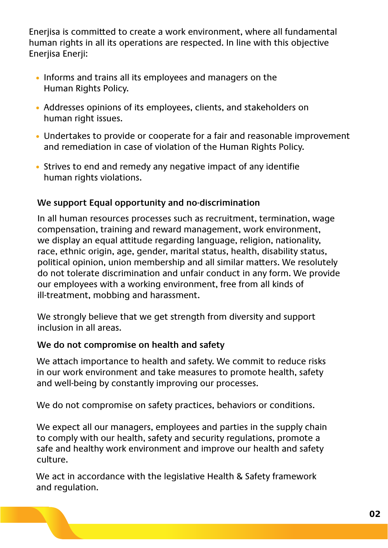Enerjisa is committed to create a work environment, where all fundamental human rights in all its operations are respected. In line with this objective Enerjisa Enerji:

- Informs and trains all its employees and managers on the Human Rights Policy.
- Addresses opinions of its employees, clients, and stakeholders on human right issues.
- Undertakes to provide or cooperate for a fair and reasonable improvement and remediation in case of violation of the Human Rights Policy.
- Strives to end and remedy any negative impact of any identifie human rights violations.

## **We support Equal opportunity and no-discrimination**

In all human resources processes such as recruitment, termination, wage compensation, training and reward management, work environment, we display an equal attitude regarding language, religion, nationality, race, ethnic origin, age, gender, marital status, health, disability status, political opinion, union membership and all similar matters. We resolutely do not tolerate discrimination and unfair conduct in any form. We provide our employees with a working environment, free from all kinds of ill-treatment, mobbing and harassment.

We strongly believe that we get strength from diversity and support inclusion in all areas.

#### **We do not compromise on health and safety**

We attach importance to health and safety. We commit to reduce risks in our work environment and take measures to promote health, safety and well-being by constantly improving our processes.

We do not compromise on safety practices, behaviors or conditions.

We expect all our managers, employees and parties in the supply chain to comply with our health, safety and security regulations, promote a safe and healthy work environment and improve our health and safety culture.

We act in accordance with the legislative Health & Safety framework and regulation.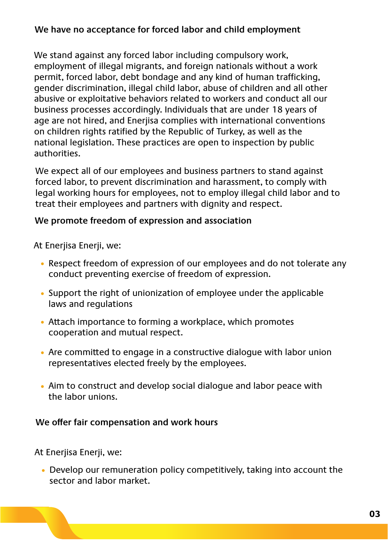## **We have no acceptance for forced labor and child employment**

We stand against any forced labor including compulsory work, employment of illegal migrants, and foreign nationals without a work permit, forced labor, debt bondage and any kind of human trafficking, gender discrimination, illegal child labor, abuse of children and all other abusive or exploitative behaviors related to workers and conduct all our business processes accordingly. Individuals that are under 18 years of age are not hired, and Enerjisa complies with international conventions on children rights ratified by the Republic of Turkey, as well as the national legislation. These practices are open to inspection by public authorities.

We expect all of our employees and business partners to stand against forced labor, to prevent discrimination and harassment, to comply with legal working hours for employees, not to employ illegal child labor and to treat their employees and partners with dignity and respect.

#### **We promote freedom of expression and association**

At Enerjisa Enerji, we:

- Respect freedom of expression of our employees and do not tolerate any conduct preventing exercise of freedom of expression.
- Support the right of unionization of employee under the applicable laws and regulations
- Attach importance to forming a workplace, which promotes cooperation and mutual respect.
- Are committed to engage in a constructive dialogue with labor union representatives elected freely by the employees.
- Aim to construct and develop social dialogue and labor peace with the labor unions.

#### **We offer fair compensation and work hours**

At Enerjisa Enerji, we:

Develop our remuneration policy competitively, taking into account the sector and labor market.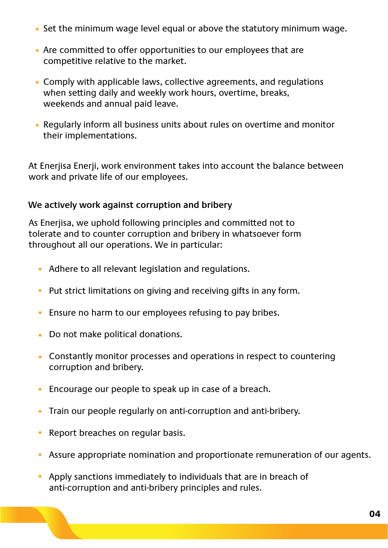- Set the minimum wage level equal or above the statutory minimum wage.
- Are committed to offer opportunities to our employees that are competitive relative to the market.
- Comply with applicable laws, collective agreements, and regulations when setting daily and weekly work hours, overtime, breaks, weekends and annual paid leave.
- Regularly inform all business units about rules on overtime and monitor their implementations.

At Enerjisa Enerji, work environment takes into account the balance between work and private life of our employees.

## **We actively work against corruption and bribery**

As Enerjisa, we uphold following principles and committed not to tolerate and to counter corruption and bribery in whatsoever form throughout all our operations. We in particular:

- Adhere to all relevant legislation and regulations.
- Put strict limitations on giving and receiving gifts in any form.
- Ensure no harm to our employees refusing to pay bribes.
- Do not make political donations.
- Constantly monitor processes and operations in respect to countering corruption and bribery.
- Encourage our people to speak up in case of a breach.
- Train our people regularly on anti-corruption and anti-bribery.
- Report breaches on regular basis.  $\bullet$
- Assure appropriate nomination and proportionate remuneration of our agents.
- Apply sanctions immediately to individuals that are in breach of anti-corruption and anti-bribery principles and rules.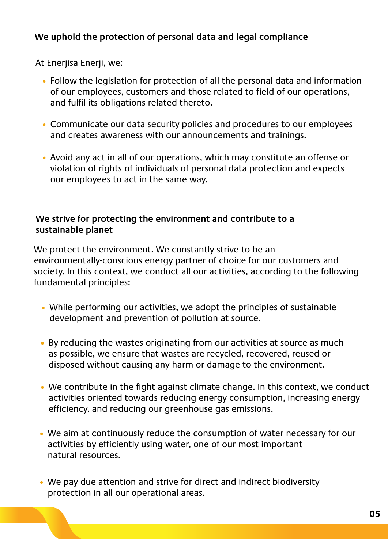# **We uphold the protection of personal data and legal compliance**

At Enerjisa Enerji, we:

- Follow the legislation for protection of all the personal data and information of our employees, customers and those related to field of our operations, and fulfil its obligations related thereto.
- Communicate our data security policies and procedures to our employees and creates awareness with our announcements and trainings.
- Avoid any act in all of our operations, which may constitute an offense or violation of rights of individuals of personal data protection and expects our employees to act in the same way.

#### **We strive for protecting the environment and contribute to a sustainable planet**

We protect the environment. We constantly strive to be an environmentally-conscious energy partner of choice for our customers and society. In this context, we conduct all our activities, according to the following fundamental principles:

- While performing our activities, we adopt the principles of sustainable development and prevention of pollution at source.
- By reducing the wastes originating from our activities at source as much as possible, we ensure that wastes are recycled, recovered, reused or disposed without causing any harm or damage to the environment.
- We contribute in the fight against climate change. In this context, we conduct activities oriented towards reducing energy consumption, increasing energy efficiency, and reducing our greenhouse gas emissions.
- We aim at continuously reduce the consumption of water necessary for our activities by efficiently using water, one of our most important natural resources.
- We pay due attention and strive for direct and indirect biodiversity protection in all our operational areas.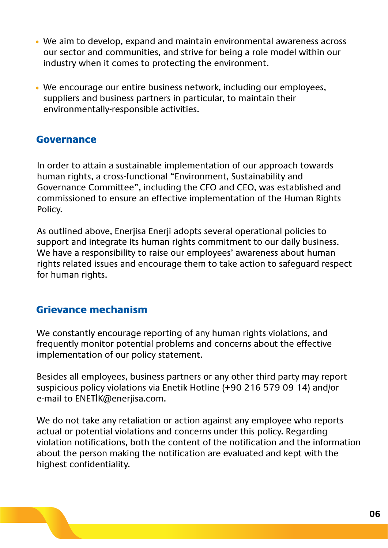- We aim to develop, expand and maintain environmental awareness across our sector and communities, and strive for being a role model within our industry when it comes to protecting the environment.
- We encourage our entire business network, including our employees, suppliers and business partners in particular, to maintain their environmentally-responsible activities.

# Governance

In order to attain a sustainable implementation of our approach towards human rights, a cross-functional "Environment, Sustainability and Governance Committee", including the CFO and CEO, was established and commissioned to ensure an effective implementation of the Human Rights Policy.

As outlined above, Enerjisa Enerji adopts several operational policies to support and integrate its human rights commitment to our daily business. We have a responsibility to raise our employees' awareness about human rights related issues and encourage them to take action to safeguard respect for human rights.

# Grievance mechanism

We constantly encourage reporting of any human rights violations, and frequently monitor potential problems and concerns about the effective implementation of our policy statement.

Besides all employees, business partners or any other third party may report suspicious policy violations via Enetik Hotline (+90 216 579 09 14) and/or e-mail to ENETİK@enerjisa.com.

We do not take any retaliation or action against any employee who reports actual or potential violations and concerns under this policy. Regarding violation notifications, both the content of the notification and the information about the person making the notification are evaluated and kept with the highest confidentiality.